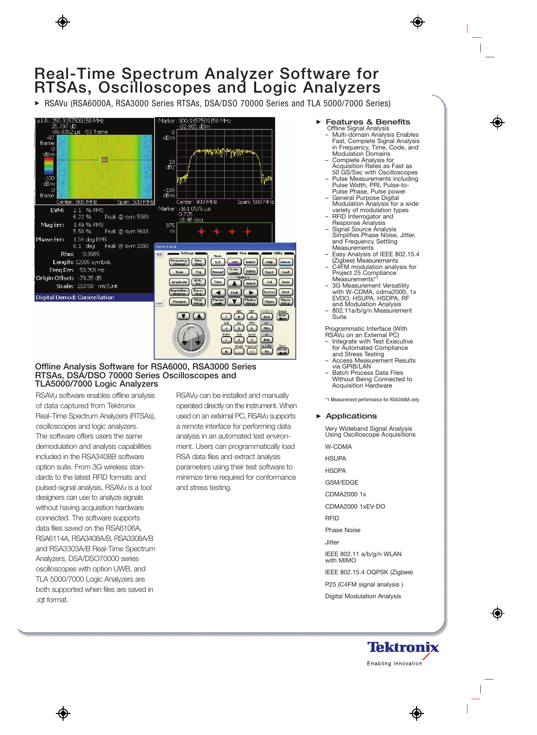# **Real-Time Spectrum Analyzer Software for RTSAs, Oscilloscopes and Logic Analyzers**

▶ RSAVu (RSA6000A, RSA3000 Series RTSAs, DSA/DSO 70000 Series and TLA 5000/7000 Series)



## **Offline Analysis Software for RSA6000, RSA3000 Series RTSAs, DSA/DSO 70000 Series Oscilloscopes and TLA5000/7000 Logic Analyzers**

RSAVu software enables offline analysis of data captured from Tektronix Real-Time Spectrum Analyzers (RTSAs), oscilloscopes and logic analyzers. The software offers users the same demodulation and analysis capabilities included in the RSA3408B software option suite. From 3G wireless standards to the latest RFID formats and pulsed-signal analysis, RSAVu is a tool designers can use to analyze signals without having acquisition hardware connected. The software supports data files saved on the RSA6106A, RSA6114A, RSA3408A/B, RSA3308A/B and RSA3303A/B Real-Time Spectrum Analyzers, DSA/DSO70000 series oscilloscopes with option UWB, and TLA 5000/7000 Logic Analyzers are both supported when files are saved in .iqt format.

RSAVu can be installed and manually operated directly on the instrument. When used on an external PC, RSAVu supports a remote interface for performing data analysis in an automated test environment. Users can programmatically load RSA data files and extract analysis parameters using their test software to minimize time required for conformance and stress testing.

- Features & Benefits Offline Signal Analysis
	- Multi-domain Analysis Enables Fast, Complete Signal Analysis in Frequency, Time, Code, and Modulation Domains
	- Complete Analysis for Acquisition Rates as Fast as 50 GS/Sec with Oscilloscopes
	- Pulse Measurements including Pulse Width, PRI, Pulse-to-Pulse Phase, Pulse power
	- General Purpose Digital Modulation Analysis for a wide variety of modulation types
	- RFID Interrogator and Response Analysis
	- Signal Source Analysis Simplifies Phase Noise, Jitter, and Frequency Settling Measurements
	- Easy Analysis of IEEE 802.15.4 (Zigbee) Measurements
	- C4FM modulation analysis for Project 25 Compliance Measurements\*1
	- 3G Measurement Versatility with W-CDMA, cdma2000, 1x EVDO, HSUPA, HSDPA, RF and Modulation Analysis
	- 802.11a/b/g/n Measurement Suite

Programmatic Interface (With RSAVu on an External PC)

- Integrate with Test Executive for Automated Compliance and Stress Testing
- Access Measurement Results via GPIB/LAN
- Batch Process Data Files Without Being Connected to Acquisition Hardware

\*1 Measurement performance for RSA3408A only.

#### **Applications**

Very Wideband Signal Analysis Using Oscilloscope Acquisitions

W-CDMA

**HSUPA** 

**HSDPA** 

GSM/EDGE

CDMA2000 1x

CDMA2000 1xEV-DO

RFID

Phase Noise

Jitter

IEEE 802.11 a/b/g/n WLAN with MIMO

IEEE 802.15.4 OQPSK (Zigbee)

P25 (C4FM signal analysis )

Digital Modulation Analysis

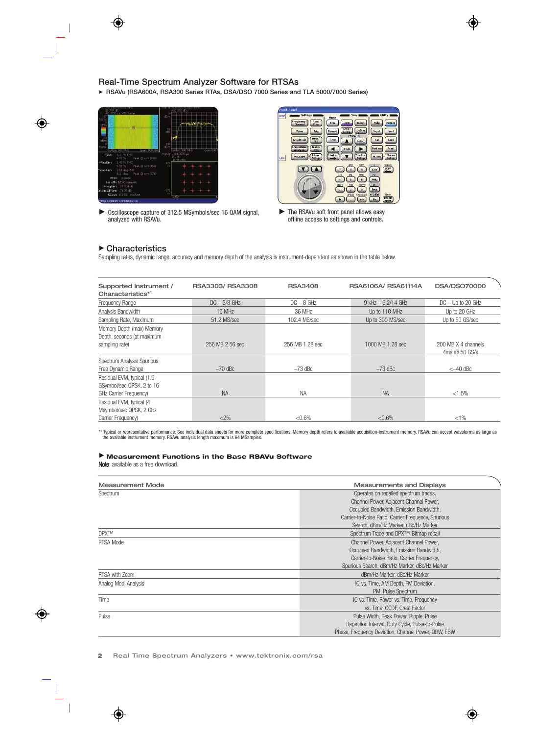**RSAVu (RSA600A, RSA300 Series RTAs, DSA/DSO 7000 Series and TLA 5000/7000 Series)**



Oscilloscope capture of 312.5 MSymbols/sec 16 QAM signal, analyzed with RSAVu.



The RSAVu soft front panel allows easy offline access to settings and controls.

## **Characteristics**

Sampling rates, dynamic range, accuracy and memory depth of the analysis is instrument-dependent as shown in the table below.

| Supported Instrument /<br>Characteristics*1                                        | RSA3303/RSA3308 | <b>RSA3408</b>  | RSA6106A/ RSA61114A    | <b>DSA/DSO70000</b>               |
|------------------------------------------------------------------------------------|-----------------|-----------------|------------------------|-----------------------------------|
| Frequency Range                                                                    | $DC - 3/8$ GHz  | $DC - 8 GHz$    | $9$ kHz $- 6.2/14$ GHz | $DC - Up to 20 GHz$               |
| Analysis Bandwidth                                                                 | 15 MHz          | 36 MHz          | Up to 110 MHz          | Up to 20 GHz                      |
| Sampling Rate, Maximum                                                             | 51.2 MS/sec     | 102.4 MS/sec    | Up to 300 MS/sec       | Up to 50 GS/sec                   |
| Memory Depth (max) Memory<br>Depth, seconds (at maximum<br>sampling rate)          | 256 MB 2.56 sec | 256 MB 1.28 sec | 1000 MB 1.28 sec       | 200 MB X 4 channels<br>4ms@50GS/s |
| Spectrum Analysis Spurious                                                         |                 |                 |                        |                                   |
| Free Dynamic Range                                                                 | $-70$ dBc       | $-73$ dBc       | $-73$ dBc              | $<-40$ dBc                        |
| Residual EVM, typical (1.6)<br>GSymbol/sec QPSK, 2 to 16<br>GHz Carrier Frequency) | <b>NA</b>       | <b>NA</b>       | <b>NA</b>              | $< 1.5\%$                         |
| Residual EVM, typical (4<br>Msymbol/sec QPSK, 2 GHz                                |                 |                 |                        |                                   |
| Carrier Frequency)                                                                 | $<$ 2%          | $< 0.6\%$       | $< 0.6\%$              | $< 1\%$                           |

\*1 Typical or representative performance. See individual data sheets for more complete specifications. Memory depth refers to available acquisition-instrument memory. RSAVu can accept waveforms as large as the available instrument memory. RSAVu analysis length maximum is 64 MSamples.

#### **Measurement Functions in the Base RSAVu Software**

Note: available as a free download.

| <b>Measurement Mode</b> | <b>Measurements and Displays</b>                    |
|-------------------------|-----------------------------------------------------|
| Spectrum                | Operates on recalled spectrum traces.               |
|                         | Channel Power, Adjacent Channel Power,              |
|                         | Occupied Bandwidth, Emission Bandwidth,             |
|                         | Carrier-to-Noise Ratio, Carrier Frequency, Spurious |
|                         | Search, dBm/Hz Marker, dBc/Hz Marker                |
| <b>DPX™</b>             | Spectrum Trace and DPX™ Bitmap recall               |
| <b>RTSA Mode</b>        | Channel Power, Adjacent Channel Power,              |
|                         | Occupied Bandwidth, Emission Bandwidth,             |
|                         | Carrier-to-Noise Ratio, Carrier Frequency,          |
|                         | Spurious Search, dBm/Hz Marker, dBc/Hz Marker       |
| RTSA with Zoom          | dBm/Hz Marker, dBc/Hz Marker                        |
| Analog Mod. Analysis    | IQ vs. Time, AM Depth, FM Deviation,                |
|                         | PM, Pulse Spectrum                                  |
| Time                    | IQ vs. Time, Power vs. Time, Frequency              |
|                         | vs. Time, CCDF, Crest Factor                        |
| Pulse                   | Pulse Width, Peak Power, Ripple, Pulse              |
|                         | Repetition Interval, Duty Cycle, Pulse-to-Pulse     |
|                         | Phase, Frequency Deviation, Channel Power, OBW, EBW |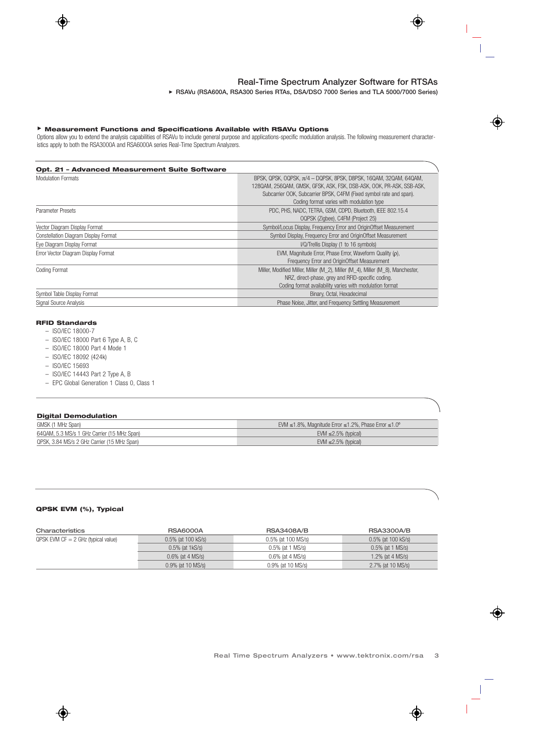**RSAVu (RSA600A, RSA300 Series RTAs, DSA/DSO 7000 Series and TLA 5000/7000 Series)**

### **Measurement Functions and Specifications Available with RSAVu Options**

Options allow you to extend the analysis capabilities of RSAVu to include general purpose and applications-specific modulation analysis. The following measurement characteristics apply to both the RSA3000A and RSA6000A series Real-Time Spectrum Analyzers.

| <b>Opt. 21 - Advanced Measurement Suite Software</b> |                                                                                                                                                                                                                                                                   |
|------------------------------------------------------|-------------------------------------------------------------------------------------------------------------------------------------------------------------------------------------------------------------------------------------------------------------------|
| <b>Modulation Formats</b>                            | BPSK, QPSK, OQPSK, $\pi/4$ - DQPSK, 8PSK, D8PSK, 16QAM, 32QAM, 64QAM,<br>128QAM, 256QAM, GMSK, GFSK, ASK, FSK, DSB-ASK, OOK, PR-ASK, SSB-ASK,<br>Subcarrier OOK, Subcarrier BPSK, C4FM (Fixed symbol rate and span).<br>Coding format varies with modulation type |
| Parameter Presets                                    | PDC, PHS, NADC, TETRA, GSM, CDPD, Bluetooth, IEEE 802.15.4<br>OQPSK (Zigbee), C4FM (Project 25)                                                                                                                                                                   |
| Vector Diagram Display Format                        | Symbol/Locus Display, Frequency Error and OriginOffset Measurement                                                                                                                                                                                                |
| Constellation Diagram Display Format                 | Symbol Display, Frequency Error and OriginOffset Measurement                                                                                                                                                                                                      |
| Eye Diagram Display Format                           | I/Q/Trellis Display (1 to 16 symbols)                                                                                                                                                                                                                             |
| Error Vector Diagram Display Format                  | EVM, Magnitude Error, Phase Error, Waveform Quality ( $\rho$ ),<br>Frequency Error and OriginOffset Measurement                                                                                                                                                   |
| <b>Coding Format</b>                                 | Miller, Modified Miller, Miller (M 2), Miller (M 4), Miller (M 8), Manchester,<br>NRZ, direct-phase, grey and RFID-specific coding.<br>Coding format availability varies with modulation format                                                                   |
| Symbol Table Display Format                          | Binary, Octal, Hexadecimal                                                                                                                                                                                                                                        |
| Signal Source Analysis                               | Phase Noise, Jitter, and Frequency Settling Measurement                                                                                                                                                                                                           |

#### **RFID Standards**

- ISO/IEC 18000-7
- ISO/IEC 18000 Part 6 Type A, B, C
- ISO/IEC 18000 Part 4 Mode 1
- ISO/IEC 18092 (424k)
- ISO/IEC 15693
- ISO/IEC 14443 Part 2 Type A, B
- EPC Global Generation 1 Class 0, Class 1

| <b>Digital Demodulation</b>                 |                                                                                  |
|---------------------------------------------|----------------------------------------------------------------------------------|
| GMSK (1 MHz Span)                           | EVM $\leq 1.8\%$ , Magnitude Error $\leq 1.2\%$ , Phase Error $\leq 1.0^{\circ}$ |
| 64QAM, 5.3 MS/s 1 GHz Carrier (15 MHz Span) | EVM $\leq$ 2.5% (typical)                                                        |
| QPSK, 3.84 MS/s 2 GHz Carrier (15 MHz Span) | EVM $\leq$ 2.5% (typical)                                                        |

#### **QPSK EVM (%), Typical**

| Characteristics                         | <b>RSA6000A</b>      | <b>RSA3408A/B</b>   | <b>RSA3300A/B</b>   |
|-----------------------------------------|----------------------|---------------------|---------------------|
| $QPSK$ EVM CF $= 2$ GHz (typical value) | 0.5% (at 100 kS/s)   | 0.5% (at 100 MS/s)  | 0.5% (at 100 kS/s)  |
|                                         | $0.5\%$ (at 1kS/s)   | $0.5\%$ (at 1 MS/s) | $0.5\%$ (at 1 MS/s) |
|                                         | $0.6\%$ (at 4 MS/s)  | 0.6% (at 4 MS/s)    | 1.2% (at $4$ MS/s)  |
|                                         | $0.9\%$ (at 10 MS/s) | 0.9% (at 10 MS/s)   | 2.7% (at 10 MS/s)   |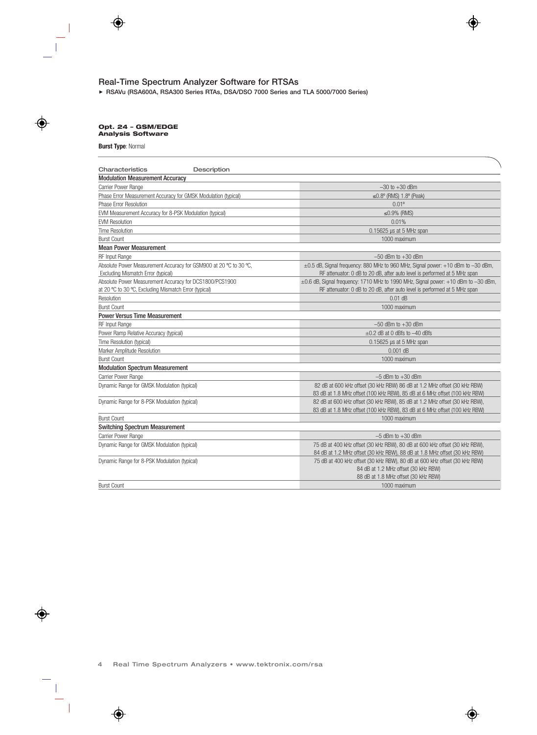**RSAVu (RSA600A, RSA300 Series RTAs, DSA/DSO 7000 Series and TLA 5000/7000 Series)**

#### **Opt. 24 – GSM/EDGE Analysis Software**

#### **Burst Type**: Normal

| Characteristics<br>Description                                                                                   |                                                                                                                                                                    |
|------------------------------------------------------------------------------------------------------------------|--------------------------------------------------------------------------------------------------------------------------------------------------------------------|
| <b>Modulation Measurement Accuracy</b>                                                                           |                                                                                                                                                                    |
| Carrier Power Range                                                                                              | $-30$ to $+30$ dBm                                                                                                                                                 |
| Phase Error Measurement Accuracy for GMSK Modulation (typical)                                                   | $\leq$ 0.8 $^{\circ}$ (RMS) 1.8 $^{\circ}$ (Peak)                                                                                                                  |
| Phase Error Resolution                                                                                           | $0.01^{\circ}$                                                                                                                                                     |
| EVM Measurement Accuracy for 8-PSK Modulation (typical)                                                          | $≤0.9%$ (RMS)                                                                                                                                                      |
| <b>EVM Resolution</b>                                                                                            | 0.01%                                                                                                                                                              |
| <b>Time Resolution</b>                                                                                           | 0.15625 µs at 5 MHz span                                                                                                                                           |
| <b>Burst Count</b>                                                                                               | 1000 maximum                                                                                                                                                       |
| <b>Mean Power Measurement</b>                                                                                    |                                                                                                                                                                    |
| RF Input Range                                                                                                   | $-50$ dBm to $+30$ dBm                                                                                                                                             |
| Absolute Power Measurement Accuracy for GSM900 at 20 °C to 30 °C,<br>Excluding Mismatch Error (typical)          | $\pm 0.5$ dB, Signal frequency: 880 MHz to 960 MHz, Signal power: +10 dBm to -30 dBm,<br>RF attenuator: 0 dB to 20 dB, after auto level is performed at 5 MHz span |
| Absolute Power Measurement Accuracy for DCS1800/PCS1900<br>at 20 °C to 30 °C, Excluding Mismatch Error (typical) | ±0.6 dB, Signal frequency: 1710 MHz to 1990 MHz, Signal power: +10 dBm to -30 dBm,<br>RF attenuator: 0 dB to 20 dB, after auto level is performed at 5 MHz span    |
| Resolution                                                                                                       | $0.01$ dB                                                                                                                                                          |
| <b>Burst Count</b>                                                                                               | 1000 maximum                                                                                                                                                       |
| <b>Power Versus Time Measurement</b>                                                                             |                                                                                                                                                                    |
| <b>RF Input Range</b>                                                                                            | $-50$ dBm to $+30$ dBm                                                                                                                                             |
| Power Ramp Relative Accuracy (typical)                                                                           | $\pm 0.2$ dB at 0 dBfs to $-40$ dBfs                                                                                                                               |
| Time Resolution (typical)                                                                                        | $0.15625$ µs at 5 MHz span                                                                                                                                         |
| Marker Amplitude Resolution                                                                                      | $0.001$ dB                                                                                                                                                         |
| <b>Burst Count</b>                                                                                               | 1000 maximum                                                                                                                                                       |
| <b>Modulation Spectrum Measurement</b>                                                                           |                                                                                                                                                                    |
| Carrier Power Range                                                                                              | $-5$ dBm to $+30$ dBm                                                                                                                                              |
| Dynamic Range for GMSK Modulation (typical)                                                                      | 82 dB at 600 kHz offset (30 kHz RBW) 86 dB at 1.2 MHz offset (30 kHz RBW)<br>83 dB at 1.8 MHz offset (100 kHz RBW), 85 dB at 6 MHz offset (100 kHz RBW)            |
| Dynamic Range for 8-PSK Modulation (typical)                                                                     | 82 dB at 600 kHz offset (30 kHz RBW), 85 dB at 1.2 MHz offset (30 kHz RBW),<br>83 dB at 1.8 MHz offset (100 kHz RBW), 83 dB at 6 MHz offset (100 kHz RBW)          |
| <b>Burst Count</b>                                                                                               | 1000 maximum                                                                                                                                                       |
| <b>Switching Spectrum Measurement</b>                                                                            |                                                                                                                                                                    |
| Carrier Power Range                                                                                              | $-5$ dBm to $+30$ dBm                                                                                                                                              |
| Dynamic Range for GMSK Modulation (typical)                                                                      | 75 dB at 400 kHz offset (30 kHz RBW), 80 dB at 600 kHz offset (30 kHz RBW),<br>84 dB at 1.2 MHz offset (30 kHz RBW), 88 dB at 1.8 MHz offset (30 kHz RBW)          |
| Dynamic Range for 8-PSK Modulation (typical)                                                                     | 75 dB at 400 kHz offset (30 kHz RBW), 80 dB at 600 kHz offset (30 kHz RBW)<br>84 dB at 1.2 MHz offset (30 kHz RBW)<br>88 dB at 1.8 MHz offset (30 kHz RBW)         |
| <b>Burst Count</b>                                                                                               | 1000 maximum                                                                                                                                                       |
|                                                                                                                  |                                                                                                                                                                    |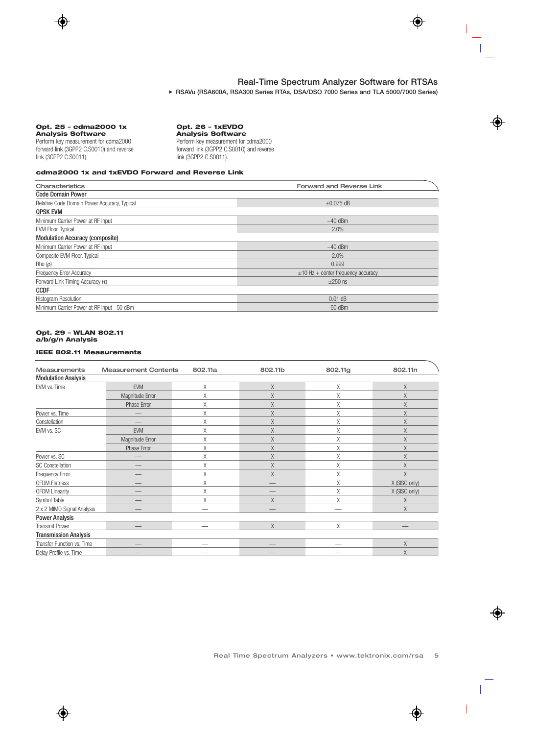**RSAVu (RSA600A, RSA300 Series RTAs, DSA/DSO 7000 Series and TLA 5000/7000 Series)**

#### **Opt. 25 – cdma2000 1x Analysis Software**

Perform key measurement for cdma2000 forward link (3GPP2 C.S0010) and reverse link (3GPP2 C.S0011).

## **Opt. 26 – 1xEVDO**

**Analysis Software**  Perform key measurement for cdma2000 forward link (3GPP2 C.S0010) and reverse link (3GPP2 C.S0011).

#### **cdma2000 1x and 1xEVDO Forward and Reverse Link**

| Characteristics                              | <b>Forward and Reverse Link</b>         |  |
|----------------------------------------------|-----------------------------------------|--|
| <b>Code Domain Power</b>                     |                                         |  |
| Relative Code Domain Power Accuracy, Typical | $\pm 0.075$ dB                          |  |
| <b>QPSK EVM</b>                              |                                         |  |
| Minimum Carrier Power at RF Input            | $-40$ dBm                               |  |
| EVM Floor, Typical                           | 2.0%                                    |  |
| <b>Modulation Accuracy (composite)</b>       |                                         |  |
| Minimum Carrier Power at RF input            | $-40$ dBm                               |  |
| Composite EVM Floor, Typical                 | 2.0%                                    |  |
| Rho $(\rho)$                                 | 0.999                                   |  |
| <b>Frequency Error Accuracy</b>              | $\pm$ 10 Hz + center frequency accuracy |  |
| Forward Link Timing Accuracy $(\tau)$        | $\pm 250$ ns                            |  |
| <b>CCDF</b>                                  |                                         |  |
| <b>Histogram Resolution</b>                  | $0.01$ dB                               |  |
| Minimum Carrier Power at RF Input -50 dBm    | $-50$ dBm                               |  |

#### **Opt. 29 – WLAN 802.11 a/b/g/n Analysis**

#### **IEEE 802.11 Measurements**

| <b>Measurements</b>          | <b>Measurement Contents</b> | 802.11a | 802.11b | 802.11g | 802.11n       |
|------------------------------|-----------------------------|---------|---------|---------|---------------|
| <b>Modulation Analysis</b>   |                             |         |         |         |               |
| EVM vs. Time                 | <b>EVM</b>                  | X       | Χ       | Χ       | $\chi$        |
|                              | Magnitude Error             | X       | Χ       | X       | X             |
|                              | Phase Error                 | Χ       | Χ       | Χ       | X             |
| Power vs. Time               |                             | X       | Χ       | X       | X             |
| Constellation                |                             | X       | X       | X       | X             |
| EVM vs. SC                   | <b>EVM</b>                  | X       | Χ       | Χ       | X             |
|                              | Magnitude Error             | X       | Χ       | X       | $\chi$        |
|                              | Phase Error                 | X       | Χ       | Χ       | X             |
| Power vs. SC                 |                             | X       | X       | X       | X             |
| <b>SC Constellation</b>      |                             | X       | Χ       | Χ       | $\chi$        |
| <b>Frequency Error</b>       |                             | X       | X       | $\chi$  | X             |
| <b>OFDM Flatness</b>         |                             | X       |         | X       | X (SISO only) |
| <b>OFDM Linearity</b>        |                             | X       |         | Χ       | X (SISO only) |
| Symbol Table                 |                             | X       | Χ       | X       | X             |
| 2 x 2 MIMO Signal Analysis   |                             | -       | _       |         | X             |
| <b>Power Analysis</b>        |                             |         |         |         |               |
| <b>Transmit Power</b>        |                             |         | X       | X       |               |
| <b>Transmission Analysis</b> |                             |         |         |         |               |
| Transfer Function vs. Time   |                             |         |         |         | X             |
| Delay Profile vs. Time       |                             |         |         |         | X             |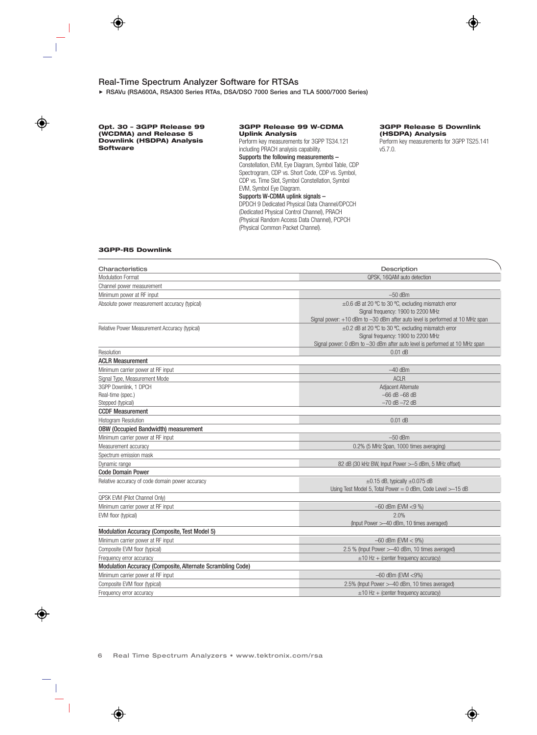**RSAVu (RSA600A, RSA300 Series RTAs, DSA/DSO 7000 Series and TLA 5000/7000 Series)**

**Opt. 30 – 3GPP Release 99 (WCDMA) and Release 5 Downlink (HSDPA) Analysis Software** 

#### **3GPP Release 99 W-CDMA Uplink Analysis**

Perform key measurements for 3GPP TS34.121 including PRACH analysis capability. Supports the following measurements – Constellation, EVM, Eye Diagram, Symbol Table, CDP Spectrogram, CDP vs. Short Code, CDP vs. Symbol, CDP vs. Time Slot, Symbol Constellation, Symbol EVM, Symbol Eye Diagram. Supports W-CDMA uplink signals – DPDCH 9 Dedicated Physical Data Channel/DPCCH (Dedicated Physical Control Channel), PRACH

(Physical Random Access Data Channel), PCPCH (Physical Common Packet Channel).

#### **3GPP Release 5 Downlink (HSDPA) Analysis**

Perform key measurements for 3GPP TS25.141 v5.7.0.

#### **3GPP-R5 Downlink**

| Characteristics                                                 | Description                                                                                                                                                                    |
|-----------------------------------------------------------------|--------------------------------------------------------------------------------------------------------------------------------------------------------------------------------|
| <b>Modulation Format</b>                                        | QPSK. 16QAM auto detection                                                                                                                                                     |
| Channel power measurement                                       |                                                                                                                                                                                |
| Minimum power at RF input                                       | $-50$ dBm                                                                                                                                                                      |
| Absolute power measurement accuracy (typical)                   | ±0.6 dB at 20 °C to 30 °C, excluding mismatch error<br>Signal frequency: 1900 to 2200 MHz<br>Signal power: $+10$ dBm to $-30$ dBm after auto level is performed at 10 MHz span |
| Relative Power Measurement Accuracy (typical)                   | ±0.2 dB at 20 °C to 30 °C, excluding mismatch error<br>Signal frequency: 1900 to 2200 MHz<br>Signal power: 0 dBm to -30 dBm after auto level is performed at 10 MHz span       |
| Resolution                                                      | $0.01$ dB                                                                                                                                                                      |
| <b>ACLR Measurement</b>                                         |                                                                                                                                                                                |
| Minimum carrier power at RF input                               | $-40$ dBm                                                                                                                                                                      |
| Signal Type, Measurement Mode                                   | <b>ACLR</b>                                                                                                                                                                    |
| 3GPP Downlink, 1 DPCH<br>Real-time (spec.)<br>Stepped (typical) | Adjacent Alternate<br>$-66$ dB $-68$ dB<br>$-70$ dB $-72$ dB                                                                                                                   |
| <b>CCDF Measurement</b>                                         |                                                                                                                                                                                |
| <b>Histogram Resolution</b>                                     | $0.01$ dB                                                                                                                                                                      |
| <b>OBW (Occupied Bandwidth) measurement</b>                     |                                                                                                                                                                                |
| Minimum carrier power at RF input                               | $-50$ dBm                                                                                                                                                                      |
| Measurement accuracy                                            | 0.2% (5 MHz Span, 1000 times averaging)                                                                                                                                        |
| Spectrum emission mask                                          |                                                                                                                                                                                |
| Dynamic range                                                   | 82 dB (30 kHz BW, Input Power > -5 dBm, 5 MHz offset)                                                                                                                          |
| <b>Code Domain Power</b>                                        |                                                                                                                                                                                |
| Relative accuracy of code domain power accuracy                 | $\pm 0.15$ dB, typically $\pm 0.075$ dB<br>Using Test Model 5, Total Power = $0$ dBm, Code Level $>$ -15 dB                                                                    |
| QPSK EVM (Pilot Channel Only)                                   |                                                                                                                                                                                |
| Minimum carrier power at RF input                               | $-60$ dBm (EVM <9 %)                                                                                                                                                           |
| EVM floor (typical)                                             | 2.0%<br>(Input Power > -40 dBm, 10 times averaged)                                                                                                                             |
| Modulation Accuracy (Composite, Test Model 5)                   |                                                                                                                                                                                |
| Minimum carrier power at RF input                               | $-60$ dBm (EVM $<$ 9%)                                                                                                                                                         |
| Composite EVM floor (typical)                                   | 2.5 % (Input Power > -40 dBm, 10 times averaged)                                                                                                                               |
| Frequency error accuracy                                        | $\pm 10$ Hz + (center frequency accuracy)                                                                                                                                      |
| Modulation Accuracy (Composite, Alternate Scrambling Code)      |                                                                                                                                                                                |
| Minimum carrier power at RF input                               | $-60$ dBm (EVM <9%)                                                                                                                                                            |
| Composite EVM floor (typical)                                   | 2.5% (Input Power > -40 dBm, 10 times averaged)                                                                                                                                |
| Frequency error accuracy                                        | $\pm 10$ Hz + (center frequency accuracy)                                                                                                                                      |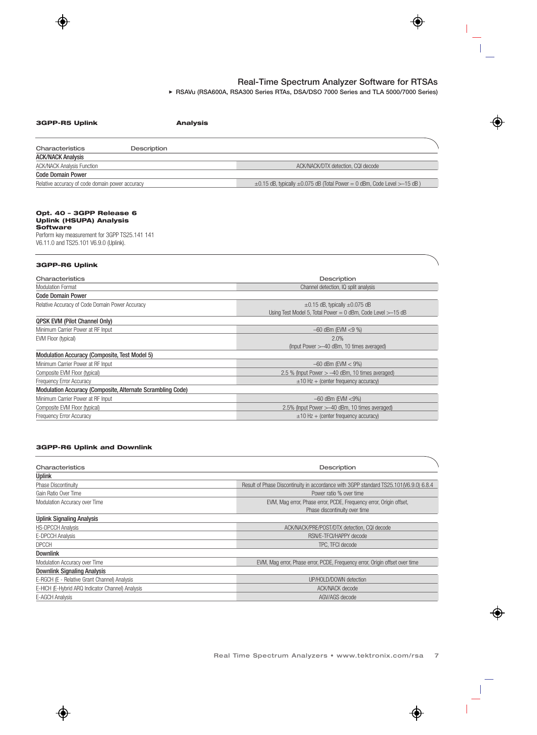**RSAVu (RSA600A, RSA300 Series RTAs, DSA/DSO 7000 Series and TLA 5000/7000 Series)**

| 3GPP-R5 Uplink<br><b>Analysis</b>                                                                                                                                       |                                                                                                        |
|-------------------------------------------------------------------------------------------------------------------------------------------------------------------------|--------------------------------------------------------------------------------------------------------|
| Characteristics<br><b>Description</b>                                                                                                                                   |                                                                                                        |
| <b>ACK/NACK Analysis</b>                                                                                                                                                |                                                                                                        |
| <b>ACK/NACK Analysis Function</b>                                                                                                                                       | ACK/NACK/DTX detection, CQI decode                                                                     |
| <b>Code Domain Power</b>                                                                                                                                                |                                                                                                        |
| Relative accuracy of code domain power accuracy                                                                                                                         | $\pm 0.15$ dB, typically $\pm 0.075$ dB (Total Power = 0 dBm, Code Level > -15 dB)                     |
| Opt. 40 - 3GPP Release 6<br><b>Uplink (HSUPA) Analysis</b><br><b>Software</b><br>Perform key measurement for 3GPP TS25.141 141<br>V6.11.0 and TS25.101 V6.9.0 (Uplink). |                                                                                                        |
| <b>3GPP-R6 Uplink</b>                                                                                                                                                   |                                                                                                        |
| Characteristics                                                                                                                                                         | Description                                                                                            |
| <b>Modulation Format</b>                                                                                                                                                | Channel detection, IQ split analysis                                                                   |
| <b>Code Domain Power</b>                                                                                                                                                |                                                                                                        |
| Relative Accuracy of Code Domain Power Accuracy                                                                                                                         | $\pm 0.15$ dB, typically $\pm 0.075$ dB<br>Using Test Model 5, Total Power = 0 dBm, Code Level >-15 dB |
| <b>QPSK EVM (Pilot Channel Only)</b>                                                                                                                                    |                                                                                                        |
| Minimum Carrier Power at RF Input                                                                                                                                       | $-60$ dBm (EVM <9 %)                                                                                   |
| EVM Floor (typical)                                                                                                                                                     | 2.0%                                                                                                   |
|                                                                                                                                                                         | (Input Power > -40 dBm, 10 times averaged)                                                             |
| Modulation Accuracy (Composite, Test Model 5)                                                                                                                           |                                                                                                        |
| Minimum Carrier Power at RF Input                                                                                                                                       | $-60$ dBm (EVM $<$ 9%)                                                                                 |
| Composite EVM Floor (typical)                                                                                                                                           | 2.5 % (Input Power $> -40$ dBm, 10 times averaged)                                                     |
| <b>Frequency Error Accuracy</b>                                                                                                                                         | $\pm$ 10 Hz + (center frequency accuracy)                                                              |
| Modulation Accuracy (Composite, Alternate Scrambling Code)                                                                                                              |                                                                                                        |
| Minimum Carrier Power at RF Input                                                                                                                                       | $-60$ dBm (EVM $<$ 9%)                                                                                 |
| Composite EVM Floor (typical)                                                                                                                                           | 2.5% (Input Power > -40 dBm, 10 times averaged)                                                        |
| <b>Frequency Error Accuracy</b>                                                                                                                                         | $\pm$ 10 Hz + (center frequency accuracy)                                                              |
| <b>3GPP-R6 Uplink and Downlink</b>                                                                                                                                      |                                                                                                        |
| Characteristics                                                                                                                                                         | Description                                                                                            |
| <b>Uplink</b>                                                                                                                                                           |                                                                                                        |
| Phase Discontinuity                                                                                                                                                     | Result of Phase Discontinuity in accordance with 3GPP standard TS25.101(V6.9.0) 6.8.4                  |

| Gain Ratio Over Time                             | Power ratio % over time                                                     |  |
|--------------------------------------------------|-----------------------------------------------------------------------------|--|
| Modulation Accuracy over Time                    | EVM, Mag error, Phase error, PCDE, Frequency error, Origin offset,          |  |
|                                                  | Phase discontinuity over time                                               |  |
| <b>Uplink Signaling Analysis</b>                 |                                                                             |  |
| <b>HS-DPCCH Analysis</b>                         | ACK/NACK/PRE/POST/DTX detection, CQI decode                                 |  |
| E-DPCCH Analysis                                 | RSN/E-TFCI/HAPPY decode                                                     |  |
| <b>DPCCH</b>                                     | TPC. TFCI decode                                                            |  |
| <b>Downlink</b>                                  |                                                                             |  |
| Modulation Accuracy over Time                    | EVM, Mag error, Phase error, PCDE, Frequency error, Origin offset over time |  |
| <b>Downlink Signaling Analysis</b>               |                                                                             |  |
| E-RGCH (E - Relative Grant Channel) Analysis     | UP/HOLD/DOWN detection                                                      |  |
| E-HICH (E-Hybrid ARQ Indicator Channel) Analysis | <b>ACK/NACK</b> decode                                                      |  |
| E-AGCH Analysis                                  | AGV/AGS decode                                                              |  |